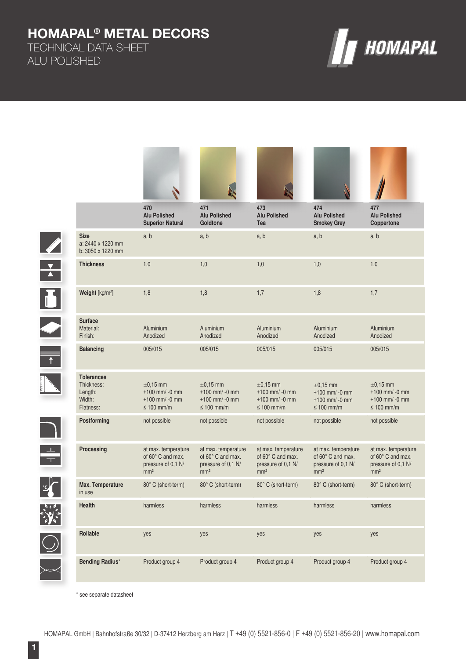# **HOMAPAL® METAL DECORS**

TECHNICAL DATA SHEET ALU POLISHED



|             |                                                                   | 470<br><b>Alu Polished</b><br><b>Superior Natural</b>                             | 471<br><b>Alu Polished</b><br>Goldtone                                            | 473<br><b>Alu Polished</b><br>Tea                                                 | 474<br><b>Alu Polished</b><br><b>Smokey Grey</b>                                  | 477<br><b>Alu Polished</b><br>Coppertone                                          |
|-------------|-------------------------------------------------------------------|-----------------------------------------------------------------------------------|-----------------------------------------------------------------------------------|-----------------------------------------------------------------------------------|-----------------------------------------------------------------------------------|-----------------------------------------------------------------------------------|
|             | <b>Size</b><br>a: 2440 x 1220 mm<br>b: 3050 x 1220 mm             | a, b                                                                              | a, b                                                                              | a, b                                                                              | a, b                                                                              | a, b                                                                              |
|             | <b>Thickness</b>                                                  | 1,0                                                                               | 1,0                                                                               | 1,0                                                                               | 1,0                                                                               | 1,0                                                                               |
| Ó           | Weight [kg/m <sup>2</sup> ]                                       | 1,8                                                                               | 1,8                                                                               | 1,7                                                                               | 1,8                                                                               | 1,7                                                                               |
|             | <b>Surface</b><br>Material:<br>Finish:                            | Aluminium<br>Anodized                                                             | Aluminium<br>Anodized                                                             | Aluminium<br>Anodized                                                             | Aluminium<br>Anodized                                                             | Aluminium<br>Anodized                                                             |
|             | <b>Balancing</b>                                                  | 005/015                                                                           | 005/015                                                                           | 005/015                                                                           | 005/015                                                                           | 005/015                                                                           |
|             | <b>Tolerances</b><br>Thickness:<br>Length:<br>Width:<br>Flatness: | $\pm 0.15$ mm<br>$+100$ mm/ -0 mm<br>$+100$ mm/ -0 mm<br>≤ 100 mm/m               | $\pm 0,15$ mm<br>$+100$ mm/ -0 mm<br>$+100$ mm/ -0 mm<br>$\leq 100$ mm/m          | $\pm 0,15$ mm<br>$+100$ mm/ -0 mm<br>$+100$ mm/ -0 mm<br>$\leq 100$ mm/m          | $\pm 0,15$ mm<br>$+100$ mm/ -0 mm<br>$+100$ mm/ -0 mm<br>$\leq 100$ mm/m          | $\pm 0,15$ mm<br>$+100$ mm/ -0 mm<br>$+100$ mm/ -0 mm<br>$\leq 100$ mm/m          |
|             | Postforming                                                       | not possible                                                                      | not possible                                                                      | not possible                                                                      | not possible                                                                      | not possible                                                                      |
| $\bigoplus$ | Processing                                                        | at max. temperature<br>of 60° C and max.<br>pressure of 0,1 N/<br>mm <sup>2</sup> | at max. temperature<br>of 60° C and max.<br>pressure of 0,1 N/<br>mm <sup>2</sup> | at max. temperature<br>of 60° C and max.<br>pressure of 0,1 N/<br>mm <sup>2</sup> | at max. temperature<br>of 60° C and max.<br>pressure of 0,1 N/<br>mm <sup>2</sup> | at max. temperature<br>of 60° C and max.<br>pressure of 0.1 N/<br>mm <sup>2</sup> |
|             | Max. Temperature<br>in use                                        | 80° C (short-term)                                                                | 80° C (short-term)                                                                | 80° C (short-term)                                                                | 80° C (short-term)                                                                | 80° C (short-term)                                                                |
|             | Health                                                            | harmless                                                                          | harmless                                                                          | harmless                                                                          | harmless                                                                          | harmless                                                                          |
|             | Rollable                                                          | yes                                                                               | yes                                                                               | yes                                                                               | yes                                                                               | yes                                                                               |
|             | <b>Bending Radius*</b>                                            | Product group 4                                                                   | Product group 4                                                                   | Product group 4                                                                   | Product group 4                                                                   | Product group 4                                                                   |

\* see separate datasheet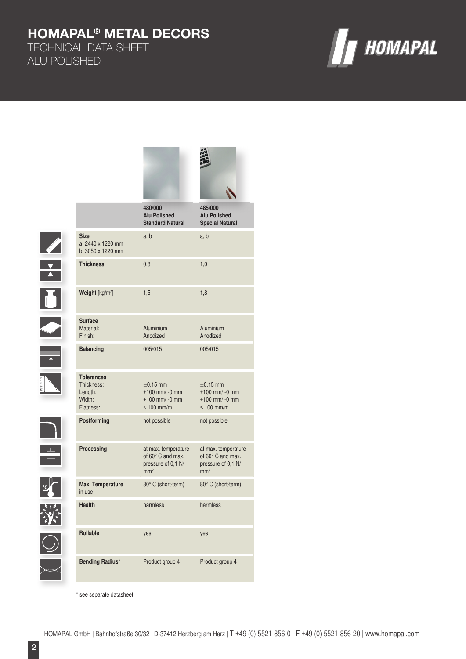# **HOMAPAL® METAL DECORS**

TECHNICAL DATA SHEET ALU POLISHED

**September 18** 

X

**IX** 

 $\frac{1}{T}$ 

 $\frac{1}{2}$ 

 $\bigcirc$ 



|  |                                                                   | 480/000<br><b>Alu Polished</b><br><b>Standard Natural</b>                                | 485/000<br><b>Alu Polished</b><br><b>Special Natural</b>                                 |
|--|-------------------------------------------------------------------|------------------------------------------------------------------------------------------|------------------------------------------------------------------------------------------|
|  | <b>Size</b><br>a: 2440 x 1220 mm<br>b: 3050 x 1220 mm             | a, b                                                                                     | a, b                                                                                     |
|  | <b>Thickness</b>                                                  | 0,8                                                                                      | 1,0                                                                                      |
|  | Weight [kg/m <sup>2</sup> ]                                       | 1,5                                                                                      | 1,8                                                                                      |
|  | <b>Surface</b><br>Material:<br>Finish:                            | Aluminium<br>Anodized                                                                    | Aluminium<br>Anodized                                                                    |
|  | <b>Balancing</b>                                                  | 005/015                                                                                  | 005/015                                                                                  |
|  | <b>Tolerances</b><br>Thickness:<br>Length:<br>Width:<br>Flatness: | $\pm 0.15$ mm<br>$+100$ mm/ -0 mm<br>$+100$ mm/ -0 mm<br>$\leq 100$ mm/m                 | $\pm 0.15$ mm<br>$+100$ mm/ -0 mm<br>$+100$ mm/ -0 mm<br>$\leq 100$ mm/m                 |
|  | <b>Postforming</b>                                                | not possible                                                                             | not possible                                                                             |
|  | Processing                                                        | at max. temperature<br>of $60^\circ$ C and max.<br>pressure of 0,1 N/<br>mm <sup>2</sup> | at max. temperature<br>of $60^\circ$ C and max.<br>pressure of 0,1 N/<br>mm <sup>2</sup> |
|  | Max. Temperature<br>in use                                        | 80° C (short-term)                                                                       | 80° C (short-term)                                                                       |
|  | <b>Health</b>                                                     | harmless                                                                                 | harmless                                                                                 |
|  | <b>Rollable</b>                                                   | yes                                                                                      | yes                                                                                      |
|  | <b>Bending Radius*</b>                                            | Product group 4                                                                          | Product group 4                                                                          |

\* see separate datasheet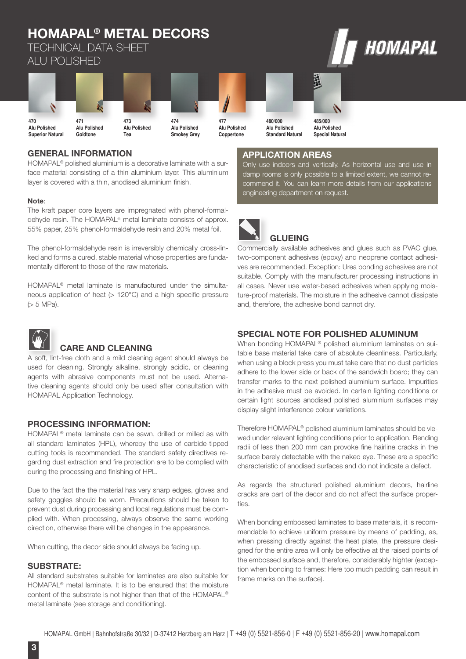#### **HOMAPAL® METAL DECORS** HOMAPAL TECHNICAL DATA SHEET ALU POLISHED 晶 **470 471 473 474 477 480/000 485/000 Alu Polished Alu Polished Alu Polished Alu Polished Alu Polished Alu Polished Alu Polished Superior Natural Goldtone Smokey Grey Coppertone Standard Natural Special Natural**

# **GENERAL INFORMATION**

HOMAPAL® polished aluminium is a decorative laminate with a surface material consisting of a thin aluminium layer. This aluminium layer is covered with a thin, anodised aluminium finish.

**Tea**

### **Note**:

The kraft paper core layers are impregnated with phenol-formaldehyde resin. The HOMAPAL® metal laminate consists of approx. 55% paper, 25% phenol-formaldehyde resin and 20% metal foil.

The phenol-formaldehyde resin is irreversibly chemically cross-linked and forms a cured, stable material whose properties are fundamentally different to those of the raw materials.

HOMAPAL® metal laminate is manufactured under the simultaneous application of heat ( $> 120^{\circ}$ C) and a high specific pressure (> 5 MPa).



## **CARE AND CLEANING**

A soft, lint-free cloth and a mild cleaning agent should always be used for cleaning. Strongly alkaline, strongly acidic, or cleaning agents with abrasive components must not be used. Alternative cleaning agents should only be used after consultation with HOMAPAL Application Technology.

## **PROCESSING INFORMATION:**

HOMAPAL® metal laminate can be sawn, drilled or milled as with all standard laminates (HPL), whereby the use of carbide-tipped cutting tools is recommended. The standard safety directives regarding dust extraction and fire protection are to be complied with during the processing and finishing of HPL.

Due to the fact the the material has very sharp edges, gloves and safety goggles should be worn. Precautions should be taken to prevent dust during processing and local regulations must be complied with. When processing, always observe the same working direction, otherwise there will be changes in the appearance.

When cutting, the decor side should always be facing up.

### **SUBSTRATE:**

All standard substrates suitable for laminates are also suitable for HOMAPAL® metal laminate. It is to be ensured that the moisture content of the substrate is not higher than that of the HOMAPAL® metal laminate (see storage and conditioning).

# **APPLICATION AREAS**

Only use indoors and vertically. As horizontal use and use in damp rooms is only possible to a limited extent, we cannot recommend it. You can learn more details from our applications engineering department on request.



Commercially available adhesives and glues such as PVAC glue, two-component adhesives (epoxy) and neoprene contact adhesives are recommended. Exception: Urea bonding adhesives are not suitable. Comply with the manufacturer processing instructions in all cases. Never use water-based adhesives when applying moisture-proof materials. The moisture in the adhesive cannot dissipate and, therefore, the adhesive bond cannot dry.

### **SPECIAL NOTE FOR POLISHED ALUMINUM**

When bonding HOMAPAL<sup>®</sup> polished aluminium laminates on suitable base material take care of absolute cleanliness. Particularly, when using a block press you must take care that no dust particles adhere to the lower side or back of the sandwich board; they can transfer marks to the next polished aluminium surface. Impurities in the adhesive must be avoided. In certain lighting conditions or certain light sources anodised polished aluminium surfaces may display slight interference colour variations.

Therefore HOMAPAL® polished aluminium laminates should be viewed under relevant lighting conditions prior to application. Bending radii of less then 200 mm can provoke fine hairline cracks in the surface barely detectable with the naked eye. These are a specific characteristic of anodised surfaces and do not indicate a defect.

As regards the structured polished aluminium decors, hairline cracks are part of the decor and do not affect the surface properties.

When bonding embossed laminates to base materials, it is recommendable to achieve uniform pressure by means of padding, as, when pressing directly against the heat plate, the pressure designed for the entire area will only be effective at the raised points of the embossed surface and, therefore, considerably highter (exception when bonding to frames: Here too much padding can result in frame marks on the surface).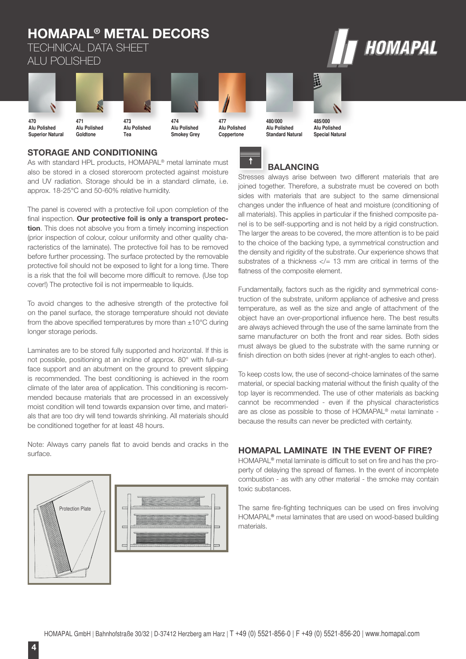#### **HOMAPAL® METAL DECORS** HOMAPAL TECHNICAL DATA SHEET ALU POLISHED 晶相 V **470 471 473 474 477 480/000 485/000 Alu Polished Alu Polished Alu Polished Alu Polished Alu Polished Alu Polished Alu Polished Superior Natural Goldtone Smokey Grey Coppertone Standard Natural Special NaturalTea**

# **STORAGE AND CONDITIONING**

As with standard HPL products, HOMAPAL<sup>®</sup> metal laminate must also be stored in a closed storeroom protected against moisture and UV radiation. Storage should be in a standard climate, i.e. approx. 18-25°C and 50-60% relative humidity.

The panel is covered with a protective foil upon completion of the final inspection. Our protective foil is only a transport protec**tion**. This does not absolve you from a timely incoming inspection (prior inspection of colour, colour uniformity and other quality characteristics of the laminate). The protective foil has to be removed before further processing. The surface protected by the removable protective foil should not be exposed to light for a long time. There is a risk that the foil will become more difficult to remove. (Use top cover!) The protective foil is not impermeable to liquids.

To avoid changes to the adhesive strength of the protective foil on the panel surface, the storage temperature should not deviate from the above specified temperatures by more than  $\pm 10^{\circ}$ C during longer storage periods.

Laminates are to be stored fully supported and horizontal. If this is not possible, positioning at an incline of approx. 80° with full-surface support and an abutment on the ground to prevent slipping is recommended. The best conditioning is achieved in the room climate of the later area of application. This conditioning is recommended because materials that are processed in an excessively moist condition will tend towards expansion over time, and materials that are too dry will tend towards shrinking. All materials should be conditioned together for at least 48 hours.

Note: Always carry panels flat to avoid bends and cracks in the surface.







# **BALANCING**

Stresses always arise between two different materials that are joined together. Therefore, a substrate must be covered on both sides with materials that are subject to the same dimensional changes under the influence of heat and moisture (conditioning of all materials). This applies in particular if the finished composite panel is to be self-supporting and is not held by a rigid construction. The larger the areas to be covered, the more attention is to be paid to the choice of the backing type, a symmetrical construction and the density and rigidity of the substrate. Our experience shows that substrates of a thickness  $\lt/= 13$  mm are critical in terms of the flatness of the composite element.

Fundamentally, factors such as the rigidity and symmetrical construction of the substrate, uniform appliance of adhesive and press temperature, as well as the size and angle of attachment of the object have an over-proportional influence here. The best results are always achieved through the use of the same laminate from the same manufacturer on both the front and rear sides. Both sides must always be glued to the substrate with the same running or finish direction on both sides (never at right-angles to each other).

To keep costs low, the use of second-choice laminates of the same material, or special backing material without the finish quality of the top layer is recommended. The use of other materials as backing cannot be recommended - even if the physical characteristics are as close as possible to those of HOMAPAL® metal laminate because the results can never be predicted with certainty.

# **HOMAPAL LAMINATE IN THE EVENT OF FIRE?**

HOMAPAL<sup>®</sup> metal laminate is difficult to set on fire and has the property of delaying the spread of flames. In the event of incomplete combustion - as with any other material - the smoke may contain toxic substances.

The same fire-fighting techniques can be used on fires involving HOMAPAL® metal laminates that are used on wood-based building materials.